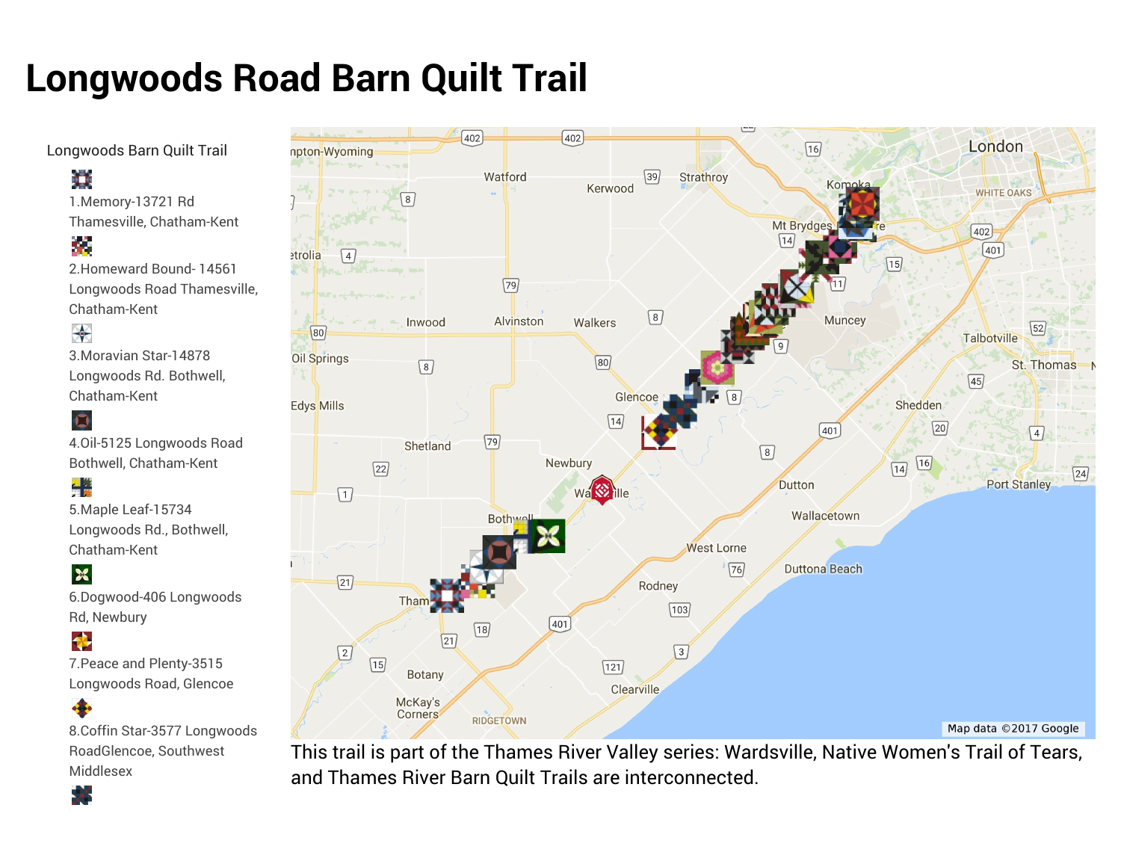# **Longwoods Road Barn Quilt Trail**

Longwoods Barn Quilt Trail

# ij,

1.Memory-13721 Rd Thamesville, Chatham-Kent

# Ø

2.Homeward Bound- 14561 Longwoods Road Thamesville, Chatham-Kent

# ₩

3.Moravian Star-14878 Longwoods Rd. Bothwell, Chatham-Kent

### $\bullet$

4.Oil-5125 Longwoods Road Bothwell, Chatham-Kent

# <u>.</u><br>종일

5.Maple Leaf-15734 Longwoods Rd., Bothwell, Chatham-Kent

#### ${\bf x}$

6.Dogwood-406 Longwoods Rd, Newbury

#### ♦

7.Peace and Plenty-3515 Longwoods Road, Glencoe

#### 4 8.Coffin Star-3577 Longwoods RoadGlencoe, Southwest

Middlesex÷



This trail is part of the Thames River Valley series: Wardsville, Native Women's Trail of Tears, and Thames River Barn Quilt Trails are interconnected.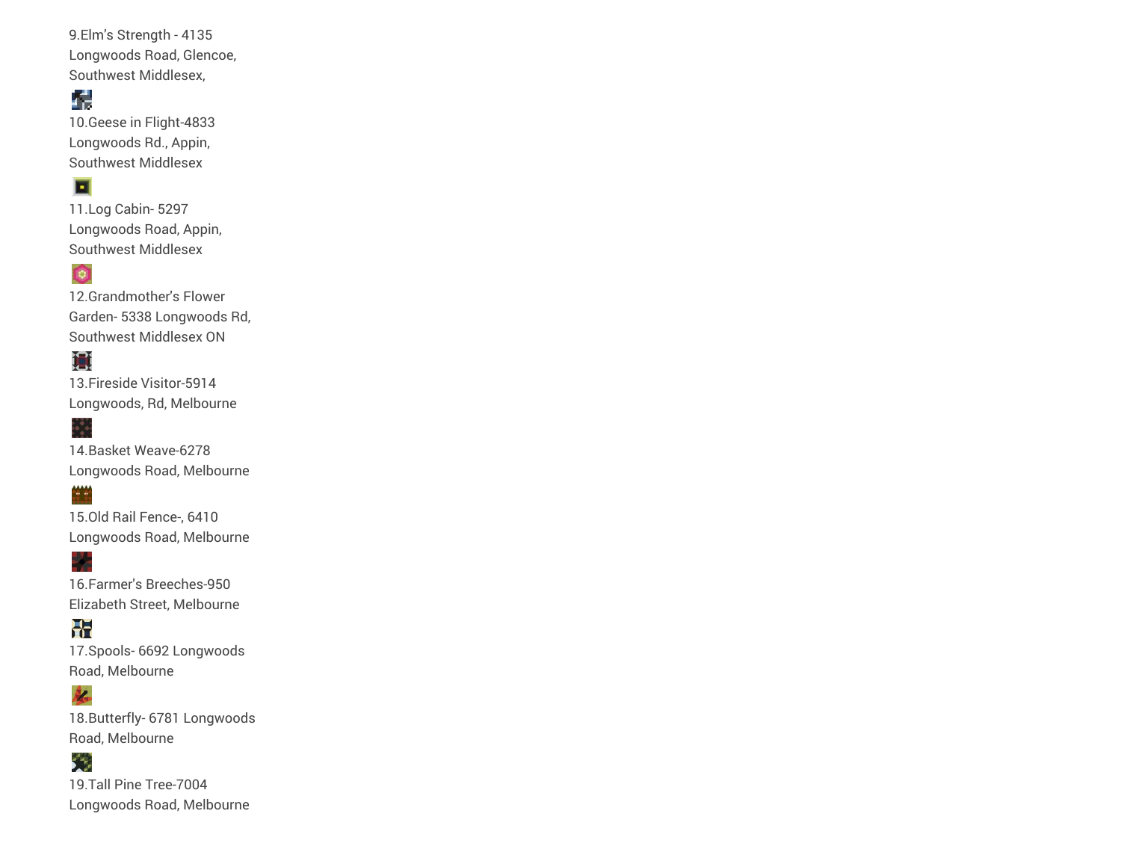9.Elm's Strength - 4135 Longwoods Road, Glencoe, Southwest Middlesex,

#### 77

10.Geese in Flight-4833 Longwoods Rd., Appin, Southwest Middlesex

#### F

11.Log Cabin- 5297 Longwoods Road, Appin, Southwest Middlesex

#### $\bullet$

12.Grandmother's Flower Garden- 5338 Longwoods Rd, Southwest Middlesex ON

## m

13.Fireside Visitor-5914 Longwoods, Rd, Melbourne

## 

**MAN** 

14.Basket Weave-6278 Longwoods Road, Melbourne

15.Old Rail Fence-, 6410 Longwoods Road, Melbourne

16.Farmer's Breeches-950 Elizabeth Street, Melbourne

H. 17.Spools- 6692 Longwoods Road, Melbourne

#### **K**

18.Butterfly- 6781 Longwoods Road, Melbourne

# Ć.

19.Tall Pine Tree-7004 Longwoods Road, Melbourne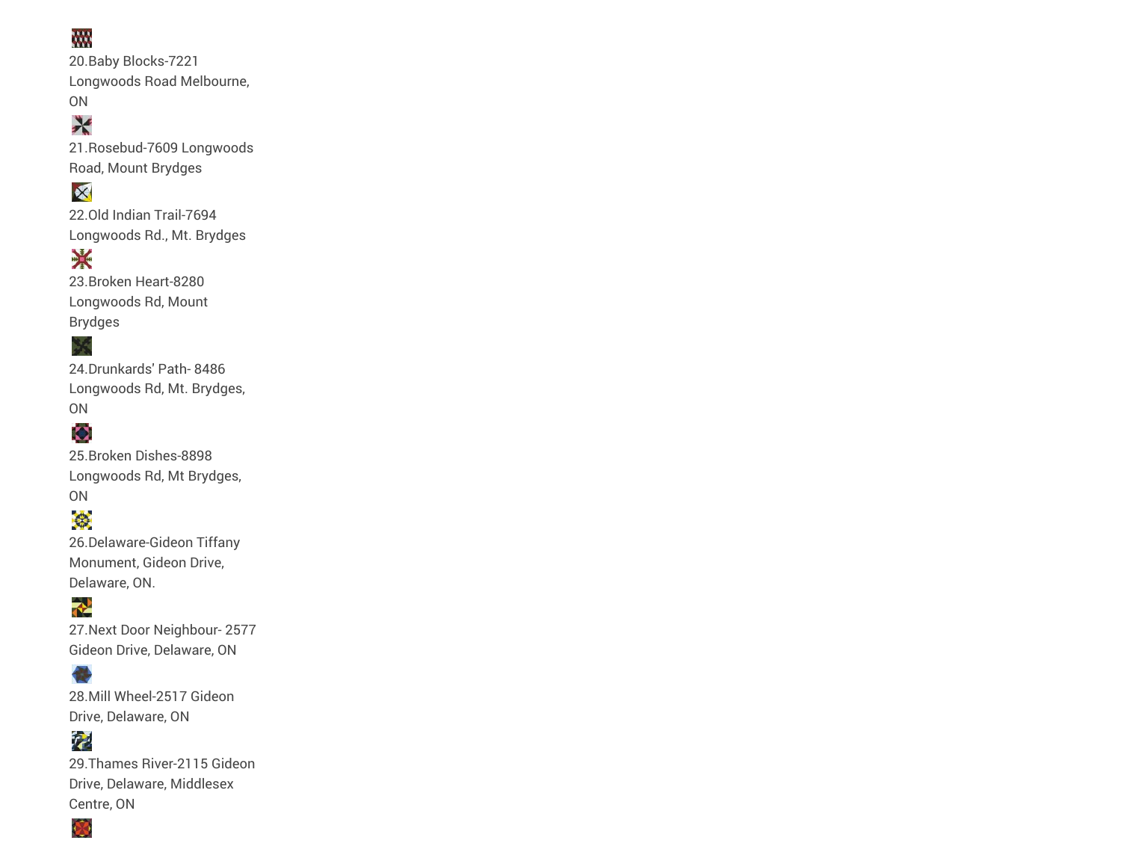## W.

20.Baby Blocks-7221 Longwoods Road Melbourne, ON

# X

21.Rosebud-7609 Longwoods Road, Mount Brydges

## X

22.Old Indian Trail-7694 Longwoods Rd., Mt. Brydges

# **BACK**

23.Broken Heart-8280 Longwoods Rd, Mount Brydges

#### X

24.Drunkards' Path- 8486 Longwoods Rd, Mt. Brydges, ON

#### **Z**

25.Broken Dishes-8898 Longwoods Rd, Mt Brydges, ON

# €

26.Delaware-Gideon Tiffany Monument, Gideon Drive, Delaware, ON.

### $\rightarrow$

27.Next Door Neighbour- 2577 Gideon Drive, Delaware, ON

#### **A**

28.Mill Wheel-2517 Gideon Drive, Delaware, ON

# 私

29.Thames River-2115 Gideon Drive, Delaware, Middlesex Centre, ON

Ø